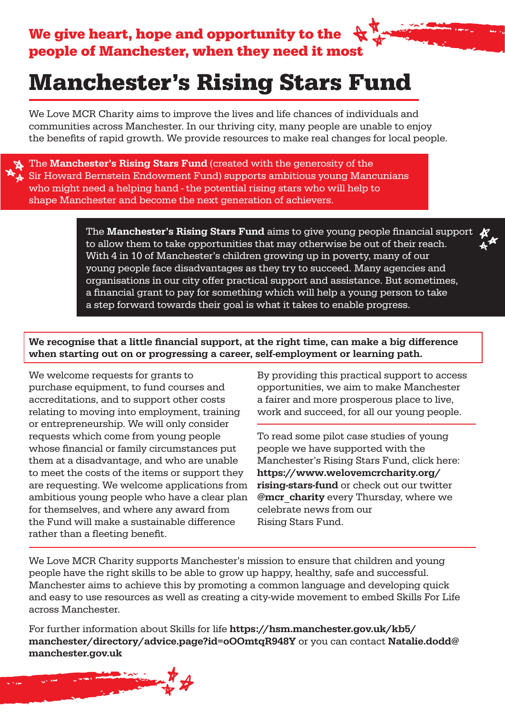## Manchester's Rising Stars Fund

We Love MCR Charity aims to improve the lives and life chances of individuals and communities across Manchester. In our thriving city, many people are unable to enjoy the benefits of rapid growth. We provide resources to make real changes for local people.

The **Manchester's Rising Stars Fund** (created with the generosity of the Sir Howard Bernstein Endowment Fund) supports ambitious young Mancunians who might need a helping hand - the potential rising stars who will help to shape Manchester and become the next generation of achievers.

> The Manchester's Rising Stars Fund aims to give young people financial support to allow them to take opportunities that may otherwise be out of their reach. With 4 in 10 of Manchester's children growing up in poverty, many of our young people face disadvantages as they try to succeed. Many agencies and organisations in our city offer practical support and assistance. But sometimes, a financial grant to pay for something which will help a young person to take a step forward towards their goal is what it takes to enable progress.

We recognise that a little financial support, at the right time, can make a big difference when starting out on or progressing a career, self-employment or learning path.

We welcome requests for grants to purchase equipment, to fund courses and accreditations, and to support other costs relating to moving into employment, training or entrepreneurship. We will only consider requests which come from young people whose financial or family circumstances put them at a disadvantage, and who are unable to meet the costs of the items or support they are requesting. We welcome applications from ambitious young people who have a clear plan for themselves, and where any award from the Fund will make a sustainable difference rather than a fleeting benefit.

By providing this practical support to access opportunities, we aim to make Manchester a fairer and more prosperous place to live, work and succeed, for all our young people.

To read some pilot case studies of young people we have supported with the Manchester's Rising Stars Fund, click here: https://www.welovemcrcharity.org/ rising-stars-fund or check out our twitter @mcr\_charity every Thursday, where we celebrate news from our Rising Stars Fund.

We Love MCR Charity supports Manchester's mission to ensure that children and young people have the right skills to be able to grow up happy, healthy, safe and successful. Manchester aims to achieve this by promoting a common language and developing quick and easy to use resources as well as creating a city-wide movement to embed Skills For Life across Manchester.

For further information about Skills for life https://hsm.manchester.gov.uk/kb5/ manchester/directory/advice.page?id=oOOmtqR948Y or you can contact Natalie.dodd@ manchester.gov.uk

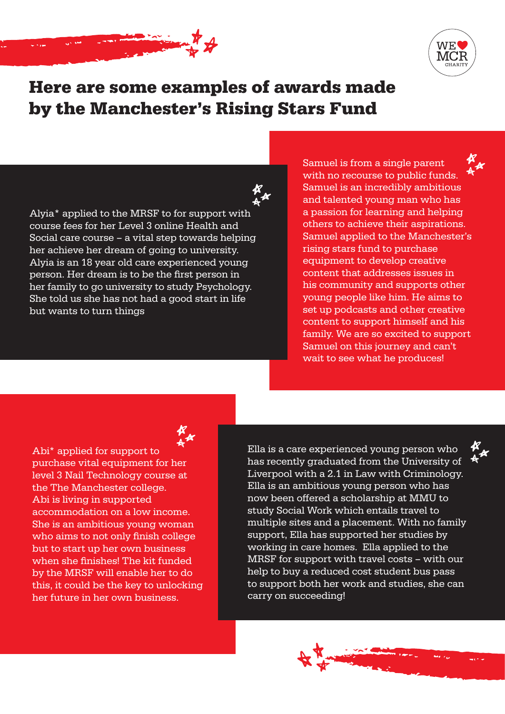



### Here are some examples of awards made by the Manchester's Rising Stars Fund

Alyia\* applied to the MRSF to for support with course fees for her Level 3 online Health and Social care course – a vital step towards helping her achieve her dream of going to university. Alyia is an 18 year old care experienced young person. Her dream is to be the first person in her family to go university to study Psychology. She told us she has not had a good start in life but wants to turn things

Samuel is from a single parent with no recourse to public funds. Samuel is an incredibly ambitious and talented young man who has a passion for learning and helping others to achieve their aspirations. Samuel applied to the Manchester's rising stars fund to purchase equipment to develop creative content that addresses issues in his community and supports other young people like him. He aims to set up podcasts and other creative content to support himself and his family. We are so excited to support Samuel on this journey and can't wait to see what he produces!

Abi\* applied for support to purchase vital equipment for her level 3 Nail Technology course at the The Manchester college. Abi is living in supported accommodation on a low income. She is an ambitious young woman who aims to not only finish college but to start up her own business when she finishes! The kit funded by the MRSF will enable her to do this, it could be the key to unlocking her future in her own business.

Ella is a care experienced young person who has recently graduated from the University of Liverpool with a 2.1 in Law with Criminology. Ella is an ambitious young person who has now been offered a scholarship at MMU to study Social Work which entails travel to multiple sites and a placement. With no family support, Ella has supported her studies by working in care homes. Ella applied to the MRSF for support with travel costs – with our help to buy a reduced cost student bus pass to support both her work and studies, she can carry on succeeding!

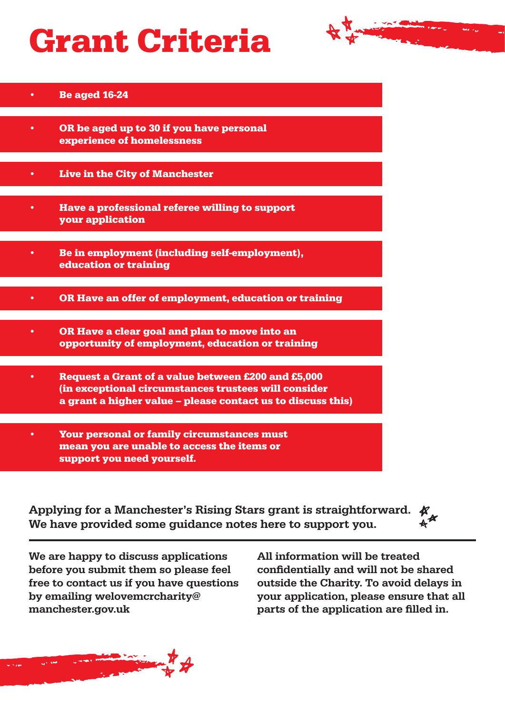# Grant Criteria



#### • Be aged 16-24

- OR be aged up to 30 if you have personal experience of homelessness
- Live in the City of Manchester
- Have a professional referee willing to support your application
- Be in employment (including self-employment), education or training
- OR Have an offer of employment, education or training
- OR Have a clear goal and plan to move into an opportunity of employment, education or training
- Request a Grant of a value between £200 and £5,000 (in exceptional circumstances trustees will consider a grant a higher value – please contact us to discuss this)
- Your personal or family circumstances must mean you are unable to access the items or support you need yourself.

| Applying for a Manchester's Rising Stars grant is straightforward. $K_{\mu}$ |                   |
|------------------------------------------------------------------------------|-------------------|
| We have provided some guidance notes here to support you.                    | $A^{\mathcal{A}}$ |

We are happy to discuss applications before you submit them so please feel free to contact us if you have questions by emailing welovemcrcharity@ manchester.gov.uk

All information will be treated confidentially and will not be shared outside the Charity. To avoid delays in your application, please ensure that all parts of the application are filled in.

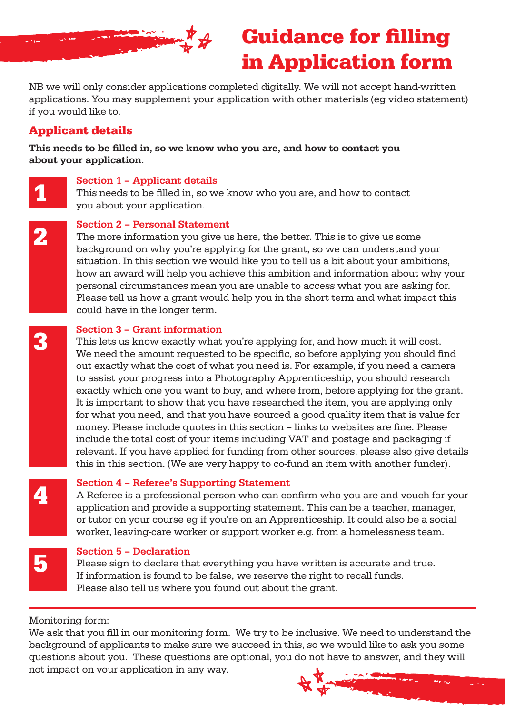

### Guidance for filling in Application form

NB we will only consider applications completed digitally. We will not accept hand-written applications. You may supplement your application with other materials (eg video statement) if you would like to.

#### Applicant details

This needs to be filled in, so we know who you are, and how to contact you about your application.

Section 1 – Applicant details<br>This needs to be filled in, so w<br>wou about your application This needs to be filled in, so we know who you are, and how to contact you about your application.

#### Section 2 – Personal Statement

The more information you give us here, the better. This is to give us some background on why you're applying for the grant, so we can understand your situation. In this section we would like you to tell us a bit about your ambitions, how an award will help you achieve this ambition and information about why your personal circumstances mean you are unable to access what you are asking for. Please tell us how a grant would help you in the short term and what impact this could have in the longer term.

#### Section 3 – Grant information

This lets us know exactly what you're applying for, and how much it will cost. We need the amount requested to be specific, so before applying you should find out exactly what the cost of what you need is. For example, if you need a camera to assist your progress into a Photography Apprenticeship, you should research exactly which one you want to buy, and where from, before applying for the grant. It is important to show that you have researched the item, you are applying only for what you need, and that you have sourced a good quality item that is value for money. Please include quotes in this section – links to websites are fine. Please include the total cost of your items including VAT and postage and packaging if relevant. If you have applied for funding from other sources, please also give details this in this section. (We are very happy to co-fund an item with another funder).

4

3

2

#### Section 4 – Referee's Supporting Statement

A Referee is a professional person who can confirm who you are and vouch for your application and provide a supporting statement. This can be a teacher, manager, or tutor on your course eg if you're on an Apprenticeship. It could also be a social worker, leaving-care worker or support worker e.g. from a homelessness team.

5

#### Section 5 – Declaration

Please sign to declare that everything you have written is accurate and true. If information is found to be false, we reserve the right to recall funds. Please also tell us where you found out about the grant.

Monitoring form:

We ask that you fill in our monitoring form. We try to be inclusive. We need to understand the background of applicants to make sure we succeed in this, so we would like to ask you some questions about you. These questions are optional, you do not have to answer, and they will not impact on your application in any way.